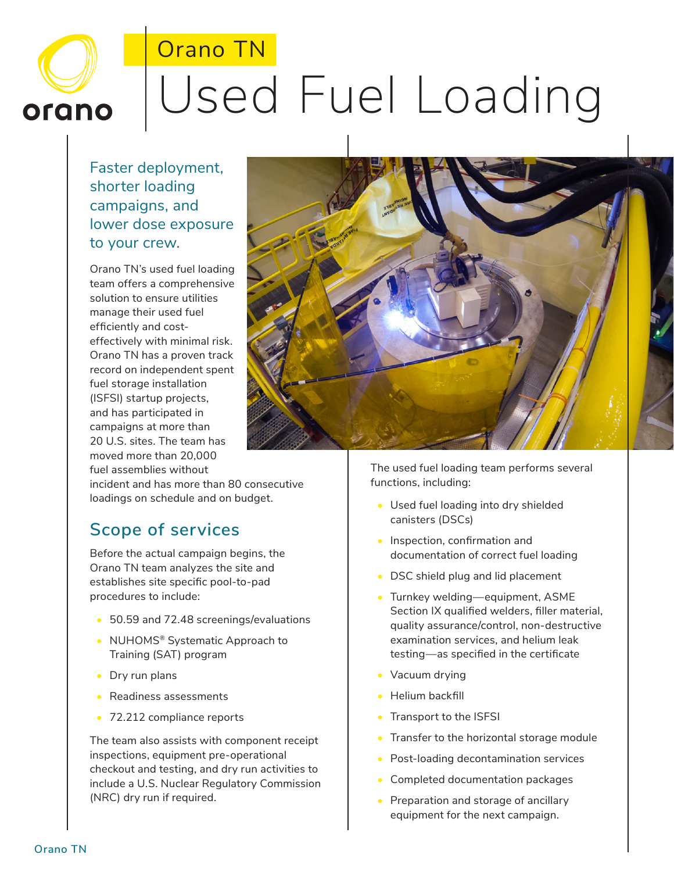## Orano TN Used Fuel Loading orano

Faster deployment, shorter loading campaigns, and lower dose exposure to your crew.

Orano TN's used fuel loading team offers a comprehensive solution to ensure utilities manage their used fuel efficiently and costeffectively with minimal risk. Orano TN has a proven track record on independent spent fuel storage installation (ISFSI) startup projects, and has participated in campaigns at more than 20 U.S. sites. The team has moved more than 20,000 fuel assemblies without

incident and has more than 80 consecutive loadings on schedule and on budget.

## **Scope of services**

Before the actual campaign begins, the Orano TN team analyzes the site and establishes site specific pool-to-pad procedures to include:

- 50.59 and 72.48 screenings/evaluations
- NUHOMS® Systematic Approach to Training (SAT) program
- Dry run plans
- Readiness assessments
- 72.212 compliance reports

The team also assists with component receipt inspections, equipment pre-operational checkout and testing, and dry run activities to include a U.S. Nuclear Regulatory Commission (NRC) dry run if required.

The used fuel loading team performs several functions, including:

- Used fuel loading into dry shielded canisters (DSCs)
- Inspection, confirmation and documentation of correct fuel loading
- DSC shield plug and lid placement
- Turnkey welding—equipment, ASME Section IX qualified welders, filler material, quality assurance/control, non-destructive examination services, and helium leak testing—as specified in the certificate
- Vacuum drying
- Helium backfill
- Transport to the ISFSI
- Transfer to the horizontal storage module
- Post-loading decontamination services
- Completed documentation packages
- Preparation and storage of ancillary equipment for the next campaign.